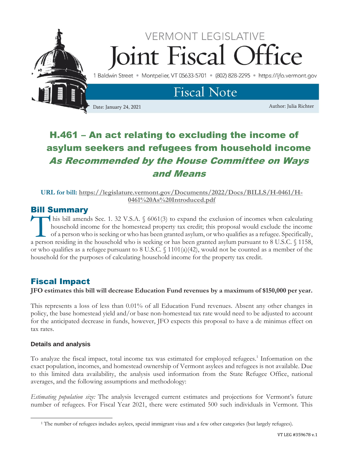

# H.461 – An act relating to excluding the income of asylum seekers and refugees from household income As Recommended by the House Committee on Ways and Means

**URL for bill: [https://legislature.vermont.gov/Documents/2022/Docs/BILLS/H-0461/H-](https://legislature.vermont.gov/Documents/2022/Docs/BILLS/H-0461/H-0461%20As%20Introduced.pdf)[0461%20As%20Introduced.pdf](https://legislature.vermont.gov/Documents/2022/Docs/BILLS/H-0461/H-0461%20As%20Introduced.pdf)**

### Bill Summary

his bill amends Sec. 1. 32 V.S.A. § 6061(3) to expand the exclusion of incomes when calculating household income for the homestead property tax credit; this proposal would exclude the income of a person who is seeking or who has been granted asylum, or who qualifies as a refugee. Specifically, This bill amends Sec. 1. 32 V.S.A. § 6061(3) to expand the exclusion of incomes when calculating household income for the homestead property tax credit; this proposal would exclude the income of a person who is seeking or or who qualifies as a refugee pursuant to 8 U.S.C. § 1101(a)(42), would not be counted as a member of the household for the purposes of calculating household income for the property tax credit.

## Fiscal Impact

**JFO estimates this bill will decrease Education Fund revenues by a maximum of \$150,000 per year.**

This represents a loss of less than 0.01% of all Education Fund revenues. Absent any other changes in policy, the base homestead yield and/or base non-homestead tax rate would need to be adjusted to account for the anticipated decrease in funds, however, JFO expects this proposal to have a de minimus effect on tax rates.

#### **Details and analysis**

To analyze the fiscal impact, total income tax was estimated for employed refugees.<sup>1</sup> Information on the exact population, incomes, and homestead ownership of Vermont asylees and refugees is not available. Due to this limited data availability, the analysis used information from the State Refugee Office, national averages, and the following assumptions and methodology:

*Estimating population size:* The analysis leveraged current estimates and projections for Vermont's future number of refugees. For Fiscal Year 2021, there were estimated 500 such individuals in Vermont. This

<sup>1</sup> The number of refugees includes asylees, special immigrant visas and a few other categories (but largely refugees).